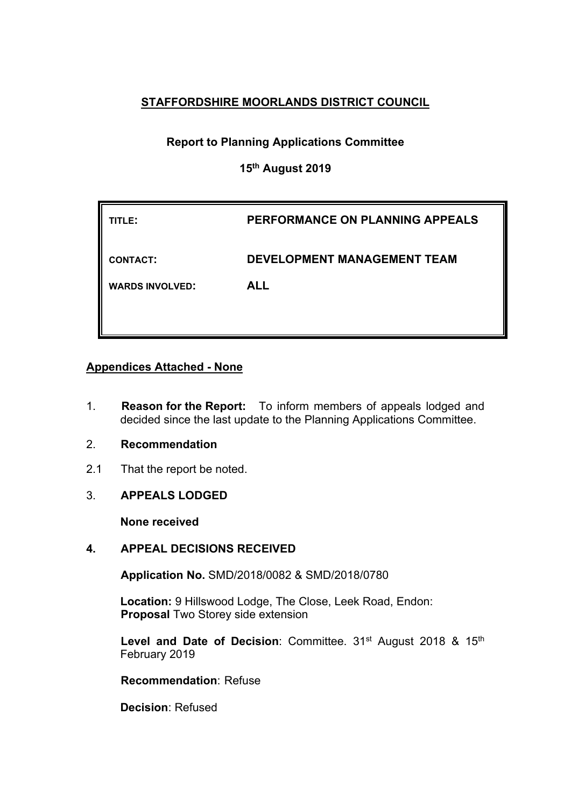# **STAFFORDSHIRE MOORLANDS DISTRICT COUNCIL**

# **Report to Planning Applications Committee**

# **15th August 2019**

| TITLE:                 | PERFORMANCE ON PLANNING APPEALS    |
|------------------------|------------------------------------|
| <b>CONTACT:</b>        | <b>DEVELOPMENT MANAGEMENT TEAM</b> |
| <b>WARDS INVOLVED:</b> | <b>ALL</b>                         |
|                        |                                    |

# **Appendices Attached - None**

- 1. **Reason for the Report:** To inform members of appeals lodged and decided since the last update to the Planning Applications Committee.
- 2. **Recommendation**
- 2.1 That the report be noted.
- 3. **APPEALS LODGED**

**None received**

# **4. APPEAL DECISIONS RECEIVED**

**Application No.** SMD/2018/0082 & SMD/2018/0780

**Location:** 9 Hillswood Lodge, The Close, Leek Road, Endon: **Proposal** Two Storey side extension

**Level and Date of Decision**: Committee. 31st August 2018 & 15th February 2019

**Recommendation**: Refuse

**Decision**: Refused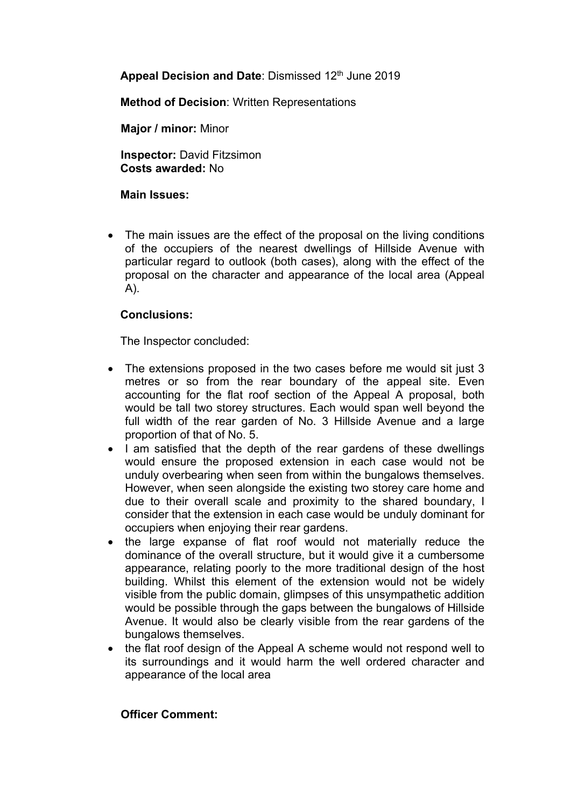**Appeal Decision and Date**: Dismissed 12th June 2019

**Method of Decision**: Written Representations

**Major / minor:** Minor

**Inspector:** David Fitzsimon **Costs awarded:** No

# **Main Issues:**

• The main issues are the effect of the proposal on the living conditions of the occupiers of the nearest dwellings of Hillside Avenue with particular regard to outlook (both cases), along with the effect of the proposal on the character and appearance of the local area (Appeal A).

# **Conclusions:**

The Inspector concluded:

- The extensions proposed in the two cases before me would sit just 3 metres or so from the rear boundary of the appeal site. Even accounting for the flat roof section of the Appeal A proposal, both would be tall two storey structures. Each would span well beyond the full width of the rear garden of No. 3 Hillside Avenue and a large proportion of that of No. 5.
- I am satisfied that the depth of the rear gardens of these dwellings would ensure the proposed extension in each case would not be unduly overbearing when seen from within the bungalows themselves. However, when seen alongside the existing two storey care home and due to their overall scale and proximity to the shared boundary, I consider that the extension in each case would be unduly dominant for occupiers when enjoying their rear gardens.
- the large expanse of flat roof would not materially reduce the dominance of the overall structure, but it would give it a cumbersome appearance, relating poorly to the more traditional design of the host building. Whilst this element of the extension would not be widely visible from the public domain, glimpses of this unsympathetic addition would be possible through the gaps between the bungalows of Hillside Avenue. It would also be clearly visible from the rear gardens of the bungalows themselves.
- the flat roof design of the Appeal A scheme would not respond well to its surroundings and it would harm the well ordered character and appearance of the local area

# **Officer Comment:**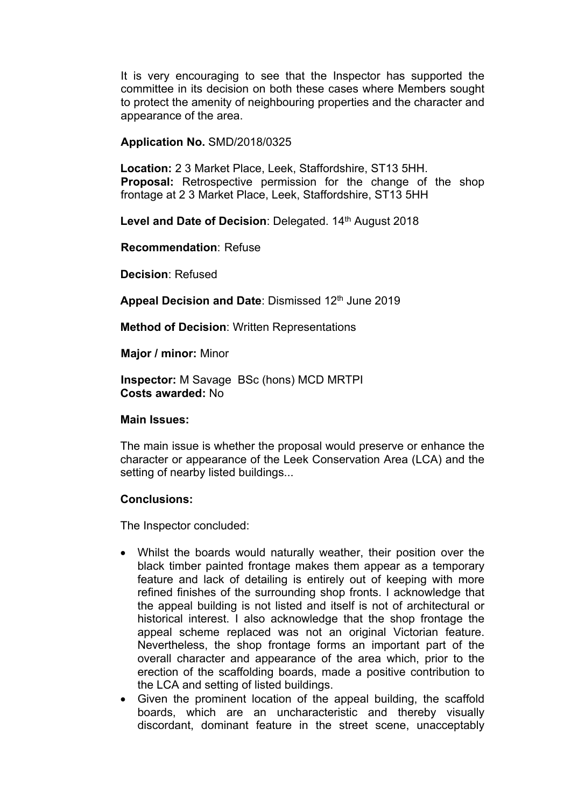It is very encouraging to see that the Inspector has supported the committee in its decision on both these cases where Members sought to protect the amenity of neighbouring properties and the character and appearance of the area.

## **Application No.** SMD/2018/0325

**Location:** 2 3 Market Place, Leek, Staffordshire, ST13 5HH. **Proposal:** Retrospective permission for the change of the shop frontage at 2 3 Market Place, Leek, Staffordshire, ST13 5HH

Level and Date of Decision: Delegated. 14<sup>th</sup> August 2018

**Recommendation**: Refuse

**Decision**: Refused

**Appeal Decision and Date**: Dismissed 12th June 2019

**Method of Decision**: Written Representations

**Major / minor:** Minor

**Inspector:** M Savage BSc (hons) MCD MRTPI **Costs awarded:** No

#### **Main Issues:**

The main issue is whether the proposal would preserve or enhance the character or appearance of the Leek Conservation Area (LCA) and the setting of nearby listed buildings...

# **Conclusions:**

The Inspector concluded:

- Whilst the boards would naturally weather, their position over the black timber painted frontage makes them appear as a temporary feature and lack of detailing is entirely out of keeping with more refined finishes of the surrounding shop fronts. I acknowledge that the appeal building is not listed and itself is not of architectural or historical interest. I also acknowledge that the shop frontage the appeal scheme replaced was not an original Victorian feature. Nevertheless, the shop frontage forms an important part of the overall character and appearance of the area which, prior to the erection of the scaffolding boards, made a positive contribution to the LCA and setting of listed buildings.
- Given the prominent location of the appeal building, the scaffold boards, which are an uncharacteristic and thereby visually discordant, dominant feature in the street scene, unacceptably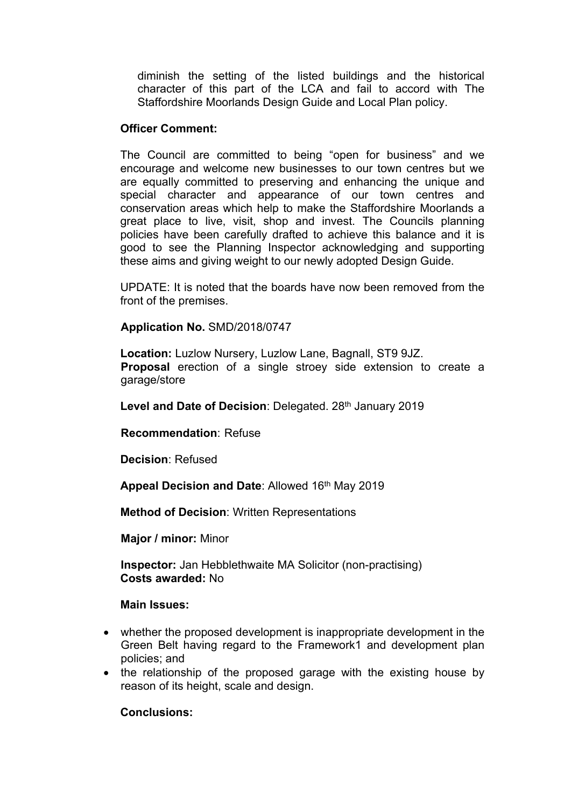diminish the setting of the listed buildings and the historical character of this part of the LCA and fail to accord with The Staffordshire Moorlands Design Guide and Local Plan policy.

### **Officer Comment:**

The Council are committed to being "open for business" and we encourage and welcome new businesses to our town centres but we are equally committed to preserving and enhancing the unique and special character and appearance of our town centres and conservation areas which help to make the Staffordshire Moorlands a great place to live, visit, shop and invest. The Councils planning policies have been carefully drafted to achieve this balance and it is good to see the Planning Inspector acknowledging and supporting these aims and giving weight to our newly adopted Design Guide.

UPDATE: It is noted that the boards have now been removed from the front of the premises.

### **Application No.** SMD/2018/0747

**Location:** Luzlow Nursery, Luzlow Lane, Bagnall, ST9 9JZ. **Proposal** erection of a single stroey side extension to create a garage/store

**Level and Date of Decision**: Delegated. 28th January 2019

**Recommendation**: Refuse

**Decision**: Refused

**Appeal Decision and Date**: Allowed 16th May 2019

**Method of Decision**: Written Representations

**Major / minor:** Minor

**Inspector:** Jan Hebblethwaite MA Solicitor (non-practising) **Costs awarded:** No

#### **Main Issues:**

- whether the proposed development is inappropriate development in the Green Belt having regard to the Framework1 and development plan policies; and
- the relationship of the proposed garage with the existing house by reason of its height, scale and design.

# **Conclusions:**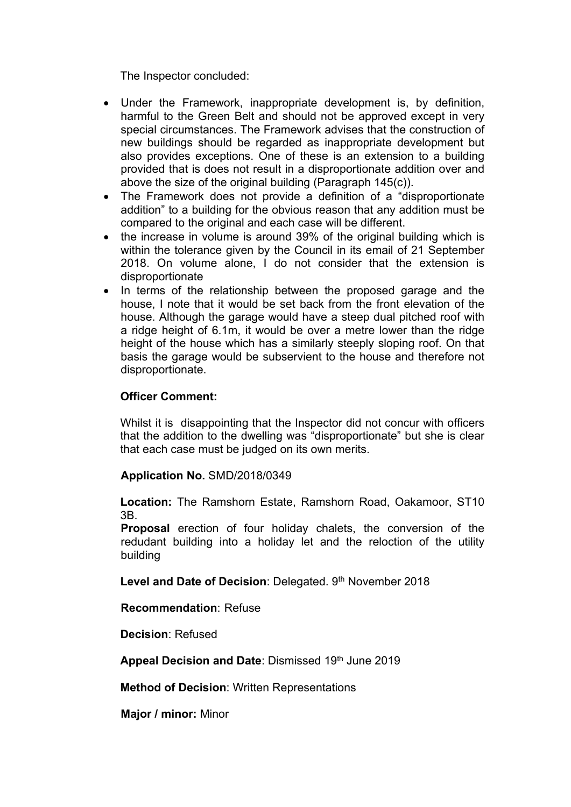The Inspector concluded:

- Under the Framework, inappropriate development is, by definition, harmful to the Green Belt and should not be approved except in very special circumstances. The Framework advises that the construction of new buildings should be regarded as inappropriate development but also provides exceptions. One of these is an extension to a building provided that is does not result in a disproportionate addition over and above the size of the original building (Paragraph 145(c)).
- The Framework does not provide a definition of a "disproportionate addition" to a building for the obvious reason that any addition must be compared to the original and each case will be different.
- the increase in volume is around 39% of the original building which is within the tolerance given by the Council in its email of 21 September 2018. On volume alone, I do not consider that the extension is disproportionate
- In terms of the relationship between the proposed garage and the house, I note that it would be set back from the front elevation of the house. Although the garage would have a steep dual pitched roof with a ridge height of 6.1m, it would be over a metre lower than the ridge height of the house which has a similarly steeply sloping roof. On that basis the garage would be subservient to the house and therefore not disproportionate.

# **Officer Comment:**

Whilst it is disappointing that the Inspector did not concur with officers that the addition to the dwelling was "disproportionate" but she is clear that each case must be judged on its own merits.

# **Application No.** SMD/2018/0349

**Location:** The Ramshorn Estate, Ramshorn Road, Oakamoor, ST10 3B.

**Proposal** erection of four holiday chalets, the conversion of the redudant building into a holiday let and the reloction of the utility building

**Level and Date of Decision**: Delegated. 9 th November 2018

**Recommendation**: Refuse

**Decision**: Refused

**Appeal Decision and Date**: Dismissed 19th June 2019

**Method of Decision**: Written Representations

**Major / minor:** Minor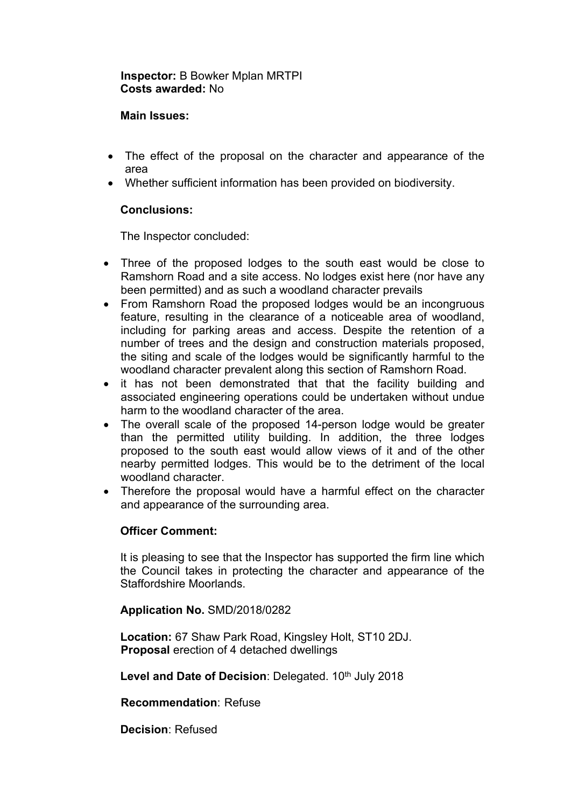# **Inspector:** B Bowker Mplan MRTPI **Costs awarded:** No

## **Main Issues:**

- The effect of the proposal on the character and appearance of the area
- Whether sufficient information has been provided on biodiversity.

# **Conclusions:**

The Inspector concluded:

- Three of the proposed lodges to the south east would be close to Ramshorn Road and a site access. No lodges exist here (nor have any been permitted) and as such a woodland character prevails
- From Ramshorn Road the proposed lodges would be an incongruous feature, resulting in the clearance of a noticeable area of woodland, including for parking areas and access. Despite the retention of a number of trees and the design and construction materials proposed, the siting and scale of the lodges would be significantly harmful to the woodland character prevalent along this section of Ramshorn Road.
- it has not been demonstrated that that the facility building and associated engineering operations could be undertaken without undue harm to the woodland character of the area.
- The overall scale of the proposed 14-person lodge would be greater than the permitted utility building. In addition, the three lodges proposed to the south east would allow views of it and of the other nearby permitted lodges. This would be to the detriment of the local woodland character.
- Therefore the proposal would have a harmful effect on the character and appearance of the surrounding area.

# **Officer Comment:**

It is pleasing to see that the Inspector has supported the firm line which the Council takes in protecting the character and appearance of the Staffordshire Moorlands.

# **Application No.** SMD/2018/0282

**Location:** 67 Shaw Park Road, Kingsley Holt, ST10 2DJ. **Proposal** erection of 4 detached dwellings

Level and Date of Decision: Delegated. 10<sup>th</sup> July 2018

**Recommendation**: Refuse

**Decision**: Refused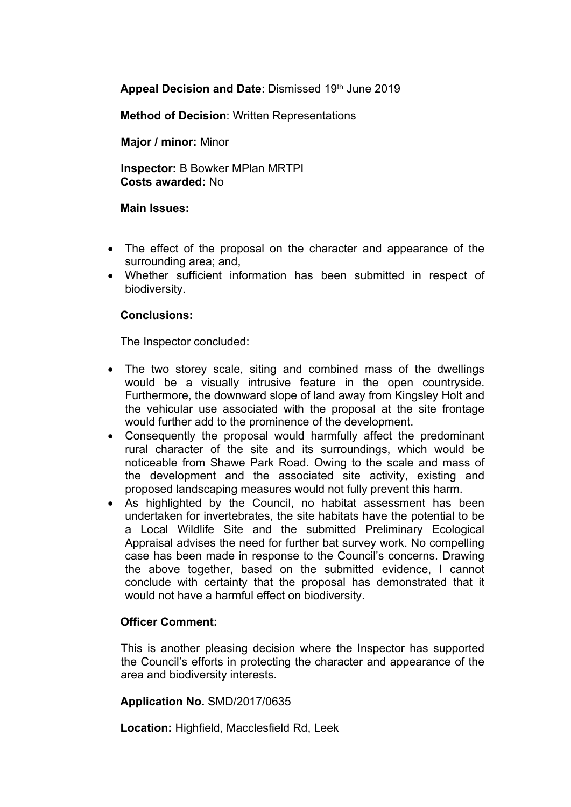**Appeal Decision and Date**: Dismissed 19th June 2019

**Method of Decision**: Written Representations

**Major / minor:** Minor

**Inspector:** B Bowker MPlan MRTPI **Costs awarded:** No

### **Main Issues:**

- The effect of the proposal on the character and appearance of the surrounding area; and,
- Whether sufficient information has been submitted in respect of biodiversity.

# **Conclusions:**

The Inspector concluded:

- The two storey scale, siting and combined mass of the dwellings would be a visually intrusive feature in the open countryside. Furthermore, the downward slope of land away from Kingsley Holt and the vehicular use associated with the proposal at the site frontage would further add to the prominence of the development.
- Consequently the proposal would harmfully affect the predominant rural character of the site and its surroundings, which would be noticeable from Shawe Park Road. Owing to the scale and mass of the development and the associated site activity, existing and proposed landscaping measures would not fully prevent this harm.
- As highlighted by the Council, no habitat assessment has been undertaken for invertebrates, the site habitats have the potential to be a Local Wildlife Site and the submitted Preliminary Ecological Appraisal advises the need for further bat survey work. No compelling case has been made in response to the Council's concerns. Drawing the above together, based on the submitted evidence, I cannot conclude with certainty that the proposal has demonstrated that it would not have a harmful effect on biodiversity.

# **Officer Comment:**

This is another pleasing decision where the Inspector has supported the Council's efforts in protecting the character and appearance of the area and biodiversity interests.

# **Application No.** SMD/2017/0635

**Location:** Highfield, Macclesfield Rd, Leek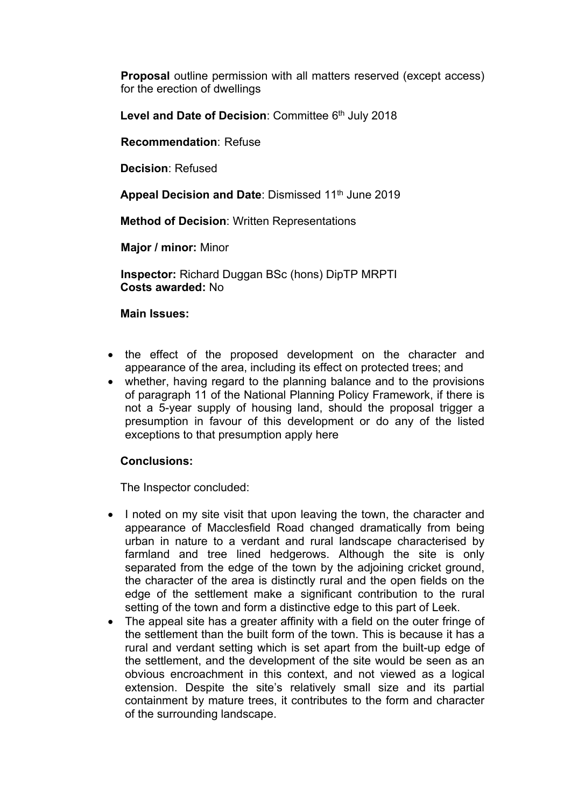**Proposal** outline permission with all matters reserved (except access) for the erection of dwellings

**Level and Date of Decision**: Committee 6 th July 2018

**Recommendation**: Refuse

**Decision**: Refused

**Appeal Decision and Date**: Dismissed 11th June 2019

**Method of Decision**: Written Representations

**Major / minor:** Minor

**Inspector:** Richard Duggan BSc (hons) DipTP MRPTI **Costs awarded:** No

#### **Main Issues:**

- the effect of the proposed development on the character and appearance of the area, including its effect on protected trees; and
- whether, having regard to the planning balance and to the provisions of paragraph 11 of the National Planning Policy Framework, if there is not a 5-year supply of housing land, should the proposal trigger a presumption in favour of this development or do any of the listed exceptions to that presumption apply here

#### **Conclusions:**

The Inspector concluded:

- I noted on my site visit that upon leaving the town, the character and appearance of Macclesfield Road changed dramatically from being urban in nature to a verdant and rural landscape characterised by farmland and tree lined hedgerows. Although the site is only separated from the edge of the town by the adjoining cricket ground, the character of the area is distinctly rural and the open fields on the edge of the settlement make a significant contribution to the rural setting of the town and form a distinctive edge to this part of Leek.
- The appeal site has a greater affinity with a field on the outer fringe of the settlement than the built form of the town. This is because it has a rural and verdant setting which is set apart from the built-up edge of the settlement, and the development of the site would be seen as an obvious encroachment in this context, and not viewed as a logical extension. Despite the site's relatively small size and its partial containment by mature trees, it contributes to the form and character of the surrounding landscape.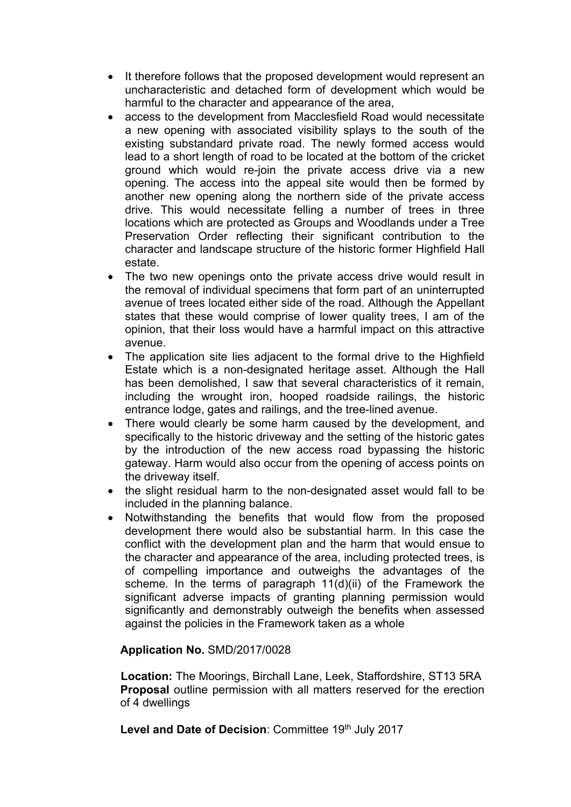- It therefore follows that the proposed development would represent an uncharacteristic and detached form of development which would be harmful to the character and appearance of the area,
- access to the development from Macclesfield Road would necessitate a new opening with associated visibility splays to the south of the existing substandard private road. The newly formed access would lead to a short length of road to be located at the bottom of the cricket ground which would re-join the private access drive via a new opening. The access into the appeal site would then be formed by another new opening along the northern side of the private access drive. This would necessitate felling a number of trees in three locations which are protected as Groups and Woodlands under a Tree Preservation Order reflecting their significant contribution to the character and landscape structure of the historic former Highfield Hall estate.
- The two new openings onto the private access drive would result in the removal of individual specimens that form part of an uninterrupted avenue of trees located either side of the road. Although the Appellant states that these would comprise of lower quality trees, I am of the opinion, that their loss would have a harmful impact on this attractive avenue.
- The application site lies adjacent to the formal drive to the Highfield Estate which is a non-designated heritage asset. Although the Hall has been demolished, I saw that several characteristics of it remain, including the wrought iron, hooped roadside railings, the historic entrance lodge, gates and railings, and the tree-lined avenue.
- There would clearly be some harm caused by the development, and specifically to the historic driveway and the setting of the historic gates by the introduction of the new access road bypassing the historic gateway. Harm would also occur from the opening of access points on the driveway itself.
- the slight residual harm to the non-designated asset would fall to be included in the planning balance.
- Notwithstanding the benefits that would flow from the proposed development there would also be substantial harm. In this case the conflict with the development plan and the harm that would ensue to the character and appearance of the area, including protected trees, is of compelling importance and outweighs the advantages of the scheme. In the terms of paragraph 11(d)(ii) of the Framework the significant adverse impacts of granting planning permission would significantly and demonstrably outweigh the benefits when assessed against the policies in the Framework taken as a whole

# **Application No.** SMD/2017/0028

**Location:** The Moorings, Birchall Lane, Leek, Staffordshire, ST13 5RA **Proposal** outline permission with all matters reserved for the erection of 4 dwellings

**Level and Date of Decision**: Committee 19th July 2017